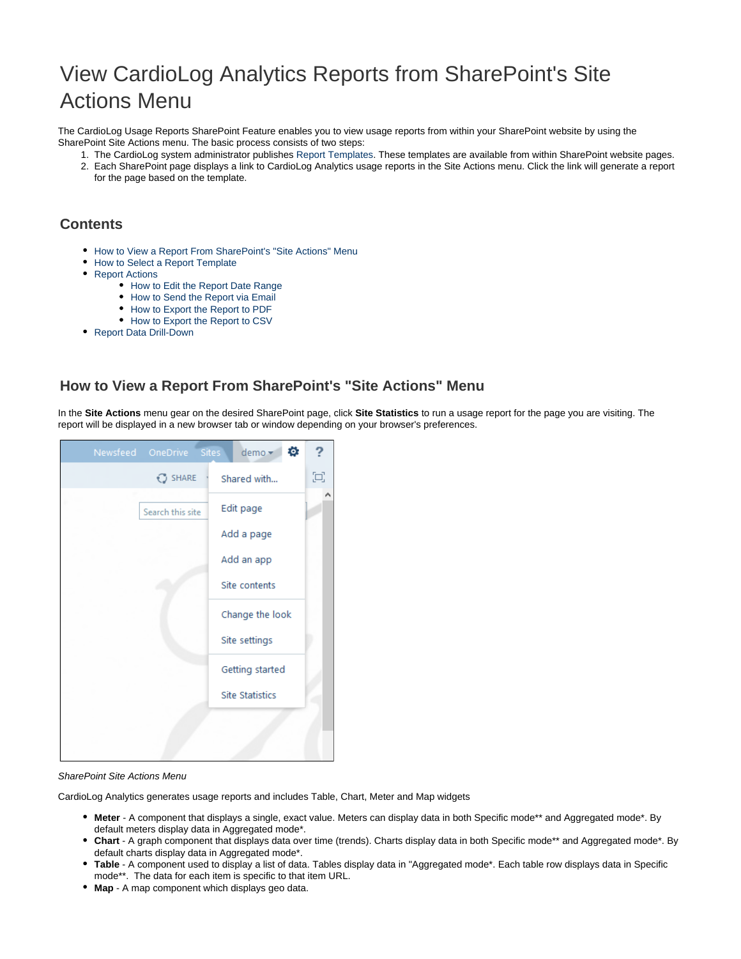# View CardioLog Analytics Reports from SharePoint's Site Actions Menu

The CardioLog Usage Reports SharePoint Feature enables you to view usage reports from within your SharePoint website by using the SharePoint Site Actions menu. The basic process consists of two steps:

- 1. The CardioLog system administrator publishes [Report Templates.](https://kb.intlock.com/display/Support/Report+Templates) These templates are available from within SharePoint website pages. 2. Each SharePoint page displays a link to CardioLog Analytics usage reports in the Site Actions menu. Click the link will generate a report
	- for the page based on the template.

## **Contents**

- [How to View a Report From SharePoint's "Site Actions" Menu](#page-0-0)
- [How to Select a Report Template](#page-1-0)
- [Report Actions](#page-1-1)
	- [How to Edit the Report Date Range](#page-1-2)
	- [How to Send the Report via Email](#page-1-3)
	- [How to Export the Report to PDF](#page-2-0)
	- [How to Export the Report to CSV](#page-2-1)
- [Report Data Drill-Down](#page-2-2)

## <span id="page-0-0"></span>**How to View a Report From SharePoint's "Site Actions" Menu**

In the **Site Actions** menu gear on the desired SharePoint page, click **Site Statistics** to run a usage report for the page you are visiting. The report will be displayed in a new browser tab or window depending on your browser's preferences.



#### SharePoint Site Actions Menu

CardioLog Analytics generates usage reports and includes Table, Chart, Meter and Map widgets

- **Meter** A component that displays a single, exact value. Meters can display data in both Specific mode\*\* and Aggregated mode\*. By default meters display data in Aggregated mode\*.
- **Chart** A graph component that displays data over time (trends). Charts display data in both Specific mode\*\* and Aggregated mode\*. By default charts display data in Aggregated mode\*.
- **Table** A component used to display a list of data. Tables display data in "Aggregated mode\*. Each table row displays data in Specific mode\*\*. The data for each item is specific to that item URL.
- **Map** A map component which displays geo data.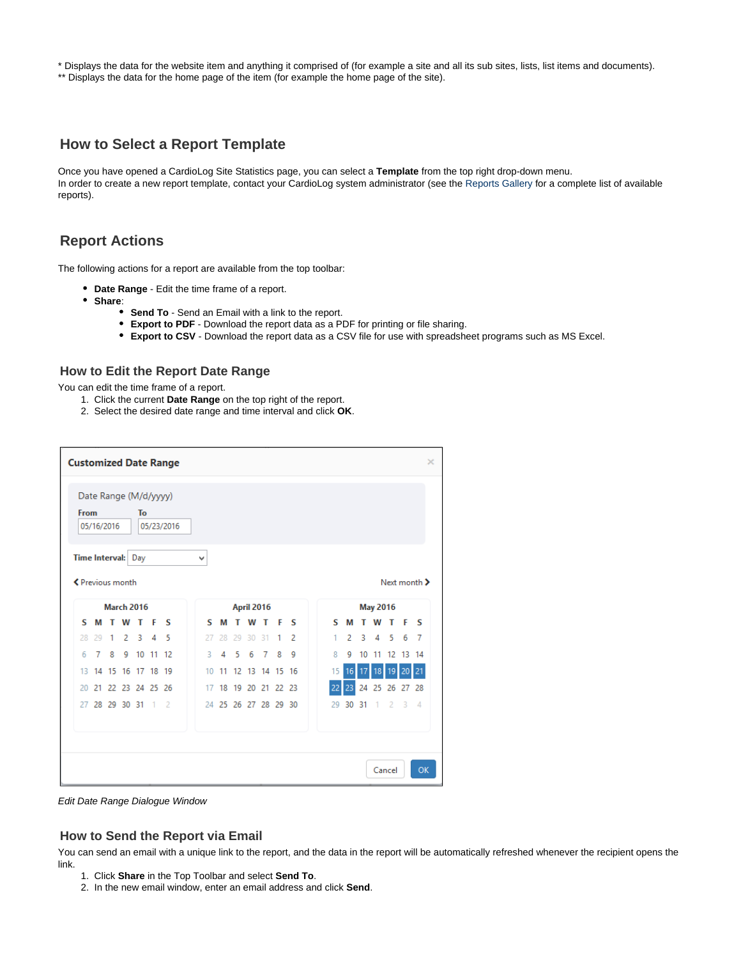\* Displays the data for the website item and anything it comprised of (for example a site and all its sub sites, lists, list items and documents).

\*\* Displays the data for the home page of the item (for example the home page of the site).

## <span id="page-1-0"></span>**How to Select a Report Template**

Once you have opened a CardioLog Site Statistics page, you can select a **Template** from the top right drop-down menu. In order to create a new report template, contact your CardioLog system administrator (see the [Reports Gallery](http://www.intlock.com/intlocksite/ProductsAndServices/CardioLog/Reports-Gallery.asp) for a complete list of available reports).

## <span id="page-1-1"></span>**Report Actions**

The following actions for a report are available from the top toolbar:

- **Date Range** Edit the time frame of a report.
- **Share**:
	- **Send To** Send an Email with a link to the report.
	- **Export to PDF** Download the report data as a PDF for printing or file sharing.
	- **Export to CSV** Download the report data as a CSV file for use with spreadsheet programs such as MS Excel.

### <span id="page-1-2"></span>**How to Edit the Report Date Range**

You can edit the time frame of a report.

- 1. Click the current **Date Range** on the top right of the report.
- 2. Select the desired date range and time interval and click **OK**.

| <b>Customized Date Range</b>     |                   |    |                       |    |                |            |    |            |    |    |    | ×              |                      |     |  |                 |    |       |    |                |    |                |
|----------------------------------|-------------------|----|-----------------------|----|----------------|------------|----|------------|----|----|----|----------------|----------------------|-----|--|-----------------|----|-------|----|----------------|----|----------------|
| From<br>Time Interval: Day       | 05/16/2016        |    | Date Range (M/d/yyyy) | To |                | 05/23/2016 | v  |            |    |    |    |                |                      |     |  |                 |    |       |    |                |    |                |
| ← Previous month<br>Next month > |                   |    |                       |    |                |            |    |            |    |    |    |                |                      |     |  |                 |    |       |    |                |    |                |
|                                  | <b>March 2016</b> |    |                       |    |                |            |    | April 2016 |    |    |    |                |                      |     |  | <b>May 2016</b> |    |       |    |                |    |                |
| s                                | м                 | т  | W                     | т  | F              | s          | s  |            | м  |    | w  | т              | F                    | - 5 |  | s               | м  |       | w  | т              | F  | -S             |
| 28                               | 29                | 1. | 2                     | 3  | $\overline{A}$ | 5          | 27 |            | 28 | 29 | 30 | 31             | 1                    | 2   |  | 1               | 2  | 3     | 4  | 5              | 6  | -7             |
| 6                                | 7                 | 8  | 9                     | 10 | 11 12          |            | 3  |            | 4  | -5 | 6  | $\overline{7}$ | 8                    | q   |  | 8               | 9  | 10    |    | 11 12 13 14    |    |                |
| 13                               |                   |    | 14 15 16 17 18 19     |    |                |            | 10 | 11         |    |    |    |                | 12 13 14 15 16       |     |  | 15              | 16 |       | 18 | 19             | 20 | 21             |
| 20                               | 21                |    | 22 23 24 25 26        |    |                |            | 17 |            |    |    |    |                | 18 19 20 21 22 23    |     |  |                 | 23 |       |    | 24 25 26 27 28 |    |                |
|                                  |                   |    | 27 28 29 30 31        |    | 1 <sub>2</sub> |            |    |            |    |    |    |                | 24 25 26 27 28 29 30 |     |  | 29              |    | 30 31 |    | 1 <sub>2</sub> | 3  | $\overline{4}$ |
|                                  |                   |    |                       |    |                |            |    |            |    |    |    |                |                      |     |  |                 |    |       |    | Cancel         |    | OK             |

Edit Date Range Dialogue Window

#### <span id="page-1-3"></span>**How to Send the Report via Email**

You can send an email with a unique link to the report, and the data in the report will be automatically refreshed whenever the recipient opens the link.

- 1. Click **Share** in the Top Toolbar and select **Send To**.
- 2. In the new email window, enter an email address and click **Send**.